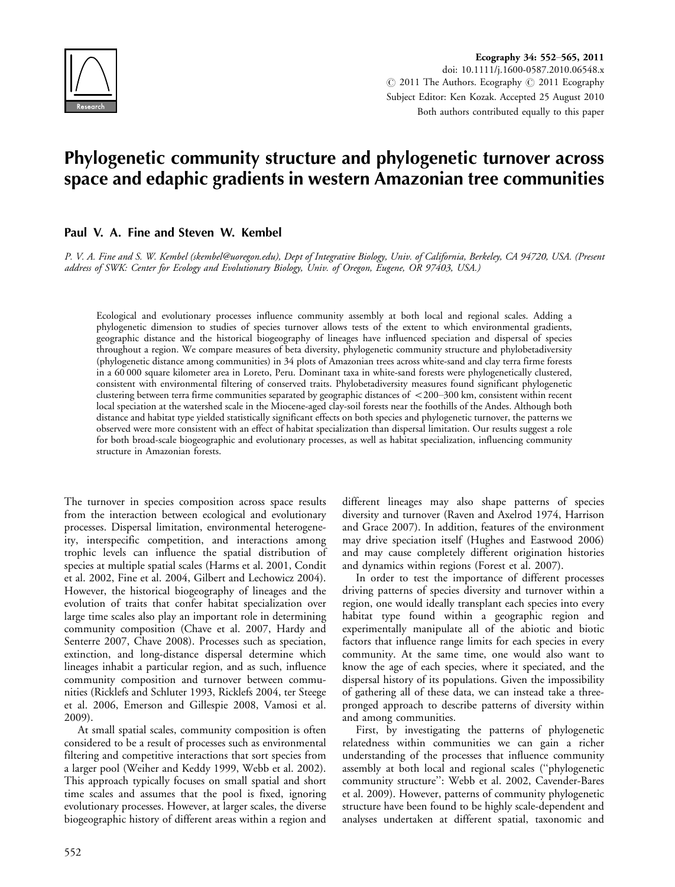

Ecography 34: 552-565, 2011 doi: 10.1111/j.1600-0587.2010.06548.x  $\odot$  2011 The Authors. Ecography  $\odot$  2011 Ecography Subject Editor: Ken Kozak. Accepted 25 August 2010 Both authors contributed equally to this paper

# Phylogenetic community structure and phylogenetic turnover across space and edaphic gradients in western Amazonian tree communities

# Paul V. A. Fine and Steven W. Kembel

P. V. A. Fine and S. W. Kembel (skembel@uoregon.edu), Dept of Integrative Biology, Univ. of California, Berkeley, CA 94720, USA. (Present address of SWK: Center for Ecology and Evolutionary Biology, Univ. of Oregon, Eugene, OR 97403, USA.)

Ecological and evolutionary processes influence community assembly at both local and regional scales. Adding a phylogenetic dimension to studies of species turnover allows tests of the extent to which environmental gradients, geographic distance and the historical biogeography of lineages have influenced speciation and dispersal of species throughout a region. We compare measures of beta diversity, phylogenetic community structure and phylobetadiversity (phylogenetic distance among communities) in 34 plots of Amazonian trees across white-sand and clay terra firme forests in a 60 000 square kilometer area in Loreto, Peru. Dominant taxa in white-sand forests were phylogenetically clustered, consistent with environmental filtering of conserved traits. Phylobetadiversity measures found significant phylogenetic clustering between terra firme communities separated by geographic distances of  $\lt$ 200-300 km, consistent within recent local speciation at the watershed scale in the Miocene-aged clay-soil forests near the foothills of the Andes. Although both distance and habitat type yielded statistically significant effects on both species and phylogenetic turnover, the patterns we observed were more consistent with an effect of habitat specialization than dispersal limitation. Our results suggest a role for both broad-scale biogeographic and evolutionary processes, as well as habitat specialization, influencing community structure in Amazonian forests.

The turnover in species composition across space results from the interaction between ecological and evolutionary processes. Dispersal limitation, environmental heterogeneity, interspecific competition, and interactions among trophic levels can influence the spatial distribution of species at multiple spatial scales (Harms et al. 2001, Condit et al. 2002, Fine et al. 2004, Gilbert and Lechowicz 2004). However, the historical biogeography of lineages and the evolution of traits that confer habitat specialization over large time scales also play an important role in determining community composition (Chave et al. 2007, Hardy and Senterre 2007, Chave 2008). Processes such as speciation, extinction, and long-distance dispersal determine which lineages inhabit a particular region, and as such, influence community composition and turnover between communities (Ricklefs and Schluter 1993, Ricklefs 2004, ter Steege et al. 2006, Emerson and Gillespie 2008, Vamosi et al. 2009).

At small spatial scales, community composition is often considered to be a result of processes such as environmental filtering and competitive interactions that sort species from a larger pool (Weiher and Keddy 1999, Webb et al. 2002). This approach typically focuses on small spatial and short time scales and assumes that the pool is fixed, ignoring evolutionary processes. However, at larger scales, the diverse biogeographic history of different areas within a region and

different lineages may also shape patterns of species diversity and turnover (Raven and Axelrod 1974, Harrison and Grace 2007). In addition, features of the environment may drive speciation itself (Hughes and Eastwood 2006) and may cause completely different origination histories and dynamics within regions (Forest et al. 2007).

In order to test the importance of different processes driving patterns of species diversity and turnover within a region, one would ideally transplant each species into every habitat type found within a geographic region and experimentally manipulate all of the abiotic and biotic factors that influence range limits for each species in every community. At the same time, one would also want to know the age of each species, where it speciated, and the dispersal history of its populations. Given the impossibility of gathering all of these data, we can instead take a threepronged approach to describe patterns of diversity within and among communities.

First, by investigating the patterns of phylogenetic relatedness within communities we can gain a richer understanding of the processes that influence community assembly at both local and regional scales (''phylogenetic community structure'': Webb et al. 2002, Cavender-Bares et al. 2009). However, patterns of community phylogenetic structure have been found to be highly scale-dependent and analyses undertaken at different spatial, taxonomic and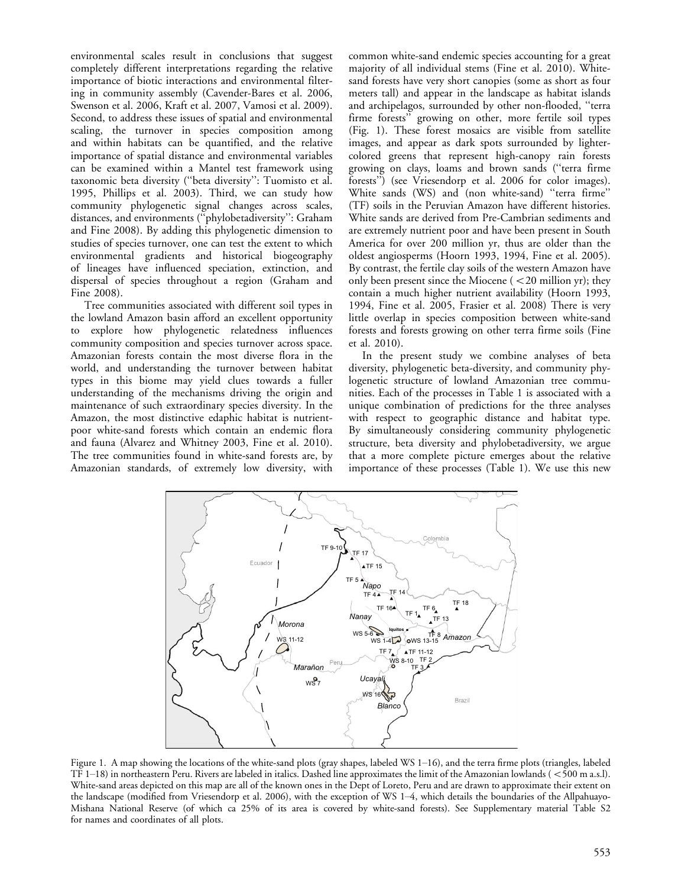environmental scales result in conclusions that suggest completely different interpretations regarding the relative importance of biotic interactions and environmental filtering in community assembly (Cavender-Bares et al. 2006, Swenson et al. 2006, Kraft et al. 2007, Vamosi et al. 2009). Second, to address these issues of spatial and environmental scaling, the turnover in species composition among and within habitats can be quantified, and the relative importance of spatial distance and environmental variables can be examined within a Mantel test framework using taxonomic beta diversity (''beta diversity'': Tuomisto et al. 1995, Phillips et al. 2003). Third, we can study how community phylogenetic signal changes across scales, distances, and environments (''phylobetadiversity'': Graham and Fine 2008). By adding this phylogenetic dimension to studies of species turnover, one can test the extent to which environmental gradients and historical biogeography of lineages have influenced speciation, extinction, and dispersal of species throughout a region (Graham and Fine 2008).

Tree communities associated with different soil types in the lowland Amazon basin afford an excellent opportunity to explore how phylogenetic relatedness influences community composition and species turnover across space. Amazonian forests contain the most diverse flora in the world, and understanding the turnover between habitat types in this biome may yield clues towards a fuller understanding of the mechanisms driving the origin and maintenance of such extraordinary species diversity. In the Amazon, the most distinctive edaphic habitat is nutrientpoor white-sand forests which contain an endemic flora and fauna (Alvarez and Whitney 2003, Fine et al. 2010). The tree communities found in white-sand forests are, by Amazonian standards, of extremely low diversity, with common white-sand endemic species accounting for a great majority of all individual stems (Fine et al. 2010). Whitesand forests have very short canopies (some as short as four meters tall) and appear in the landscape as habitat islands and archipelagos, surrounded by other non-flooded, ''terra firme forests'' growing on other, more fertile soil types (Fig. 1). These forest mosaics are visible from satellite images, and appear as dark spots surrounded by lightercolored greens that represent high-canopy rain forests growing on clays, loams and brown sands (''terra firme forests<sup>"</sup>) (see Vriesendorp et al. 2006 for color images). White sands (WS) and (non white-sand) ''terra firme'' (TF) soils in the Peruvian Amazon have different histories. White sands are derived from Pre-Cambrian sediments and are extremely nutrient poor and have been present in South America for over 200 million yr, thus are older than the oldest angiosperms (Hoorn 1993, 1994, Fine et al. 2005). By contrast, the fertile clay soils of the western Amazon have only been present since the Miocene  $(< 20$  million yr); they contain a much higher nutrient availability (Hoorn 1993, 1994, Fine et al. 2005, Frasier et al. 2008) There is very little overlap in species composition between white-sand forests and forests growing on other terra firme soils (Fine et al. 2010).

In the present study we combine analyses of beta diversity, phylogenetic beta-diversity, and community phylogenetic structure of lowland Amazonian tree communities. Each of the processes in Table 1 is associated with a unique combination of predictions for the three analyses with respect to geographic distance and habitat type. By simultaneously considering community phylogenetic structure, beta diversity and phylobetadiversity, we argue that a more complete picture emerges about the relative importance of these processes (Table 1). We use this new



Figure 1. A map showing the locations of the white-sand plots (gray shapes, labeled WS 1-16), and the terra firme plots (triangles, labeled TF  $1-18$ ) in northeastern Peru. Rivers are labeled in italics. Dashed line approximates the limit of the Amazonian lowlands ( $<$ 500 m a.s.l). White-sand areas depicted on this map are all of the known ones in the Dept of Loreto, Peru and are drawn to approximate their extent on the landscape (modified from Vriesendorp et al. 2006), with the exception of WS 1-4, which details the boundaries of the Allpahuayo-Mishana National Reserve (of which ca 25% of its area is covered by white-sand forests). See Supplementary material Table S2 for names and coordinates of all plots.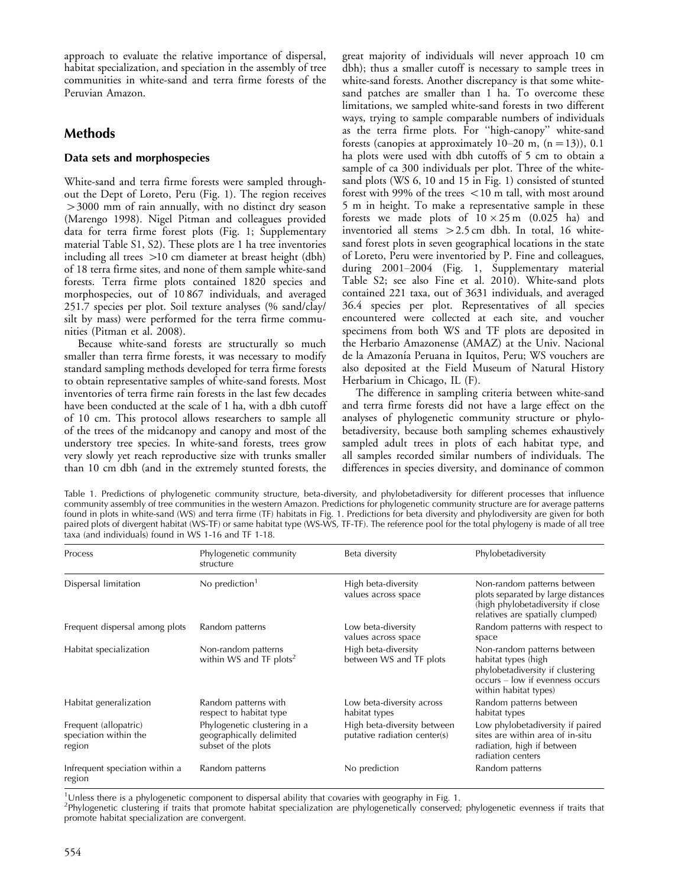approach to evaluate the relative importance of dispersal, habitat specialization, and speciation in the assembly of tree communities in white-sand and terra firme forests of the Peruvian Amazon.

# Methods

# Data sets and morphospecies

White-sand and terra firme forests were sampled throughout the Dept of Loreto, Peru (Fig. 1). The region receives -3000 mm of rain annually, with no distinct dry season (Marengo 1998). Nigel Pitman and colleagues provided data for terra firme forest plots (Fig. 1; Supplementary material Table S1, S2). These plots are 1 ha tree inventories including all trees -10 cm diameter at breast height (dbh) of 18 terra firme sites, and none of them sample white-sand forests. Terra firme plots contained 1820 species and morphospecies, out of 10 867 individuals, and averaged 251.7 species per plot. Soil texture analyses (% sand/clay/ silt by mass) were performed for the terra firme communities (Pitman et al. 2008).

Because white-sand forests are structurally so much smaller than terra firme forests, it was necessary to modify standard sampling methods developed for terra firme forests to obtain representative samples of white-sand forests. Most inventories of terra firme rain forests in the last few decades have been conducted at the scale of 1 ha, with a dbh cutoff of 10 cm. This protocol allows researchers to sample all of the trees of the midcanopy and canopy and most of the understory tree species. In white-sand forests, trees grow very slowly yet reach reproductive size with trunks smaller than 10 cm dbh (and in the extremely stunted forests, the

great majority of individuals will never approach 10 cm dbh); thus a smaller cutoff is necessary to sample trees in white-sand forests. Another discrepancy is that some whitesand patches are smaller than 1 ha. To overcome these limitations, we sampled white-sand forests in two different ways, trying to sample comparable numbers of individuals as the terra firme plots. For ''high-canopy'' white-sand forests (canopies at approximately  $10-20$  m,  $(n = 13)$ ),  $0.1$ ha plots were used with dbh cutoffs of 5 cm to obtain a sample of ca 300 individuals per plot. Three of the whitesand plots (WS 6, 10 and 15 in Fig. 1) consisted of stunted forest with 99% of the trees  $<$  10 m tall, with most around 5 m in height. To make a representative sample in these forests we made plots of  $10 \times 25$  m (0.025 ha) and inventoried all stems -2.5 cm dbh. In total, 16 whitesand forest plots in seven geographical locations in the state of Loreto, Peru were inventoried by P. Fine and colleagues, during 2001-2004 (Fig. 1, Supplementary material Table S2; see also Fine et al. 2010). White-sand plots contained 221 taxa, out of 3631 individuals, and averaged 36.4 species per plot. Representatives of all species encountered were collected at each site, and voucher specimens from both WS and TF plots are deposited in the Herbario Amazonense (AMAZ) at the Univ. Nacional de la Amazonía Peruana in Iquitos, Peru; WS vouchers are also deposited at the Field Museum of Natural History Herbarium in Chicago, IL (F).

The difference in sampling criteria between white-sand and terra firme forests did not have a large effect on the analyses of phylogenetic community structure or phylobetadiversity, because both sampling schemes exhaustively sampled adult trees in plots of each habitat type, and all samples recorded similar numbers of individuals. The differences in species diversity, and dominance of common

Table 1. Predictions of phylogenetic community structure, beta-diversity, and phylobetadiversity for different processes that influence community assembly of tree communities in the western Amazon. Predictions for phylogenetic community structure are for average patterns found in plots in white-sand (WS) and terra firme (TF) habitats in Fig. 1. Predictions for beta diversity and phylodiversity are given for both paired plots of divergent habitat (WS-TF) or same habitat type (WS-WS, TF-TF). The reference pool for the total phylogeny is made of all tree taxa (and individuals) found in WS 1-16 and TF 1-18.

| Process                                                  | Phylogenetic community<br>structure                                             | Beta diversity                                              | Phylobetadiversity                                                                                                                                 |  |
|----------------------------------------------------------|---------------------------------------------------------------------------------|-------------------------------------------------------------|----------------------------------------------------------------------------------------------------------------------------------------------------|--|
| Dispersal limitation                                     | No prediction <sup>1</sup>                                                      | High beta-diversity<br>values across space                  | Non-random patterns between<br>plots separated by large distances<br>(high phylobetadiversity if close<br>relatives are spatially clumped)         |  |
| Frequent dispersal among plots                           | Random patterns                                                                 | Low beta-diversity<br>values across space                   | Random patterns with respect to<br>space                                                                                                           |  |
| Habitat specialization                                   | Non-random patterns<br>within WS and TF plots <sup>2</sup>                      | High beta-diversity<br>between WS and TF plots              | Non-random patterns between<br>habitat types (high<br>phylobetadiversity if clustering<br>occurs - low if evenness occurs<br>within habitat types) |  |
| Habitat generalization                                   | Random patterns with<br>respect to habitat type                                 | Low beta-diversity across<br>habitat types                  | Random patterns between<br>habitat types                                                                                                           |  |
| Frequent (allopatric)<br>speciation within the<br>region | Phylogenetic clustering in a<br>geographically delimited<br>subset of the plots | High beta-diversity between<br>putative radiation center(s) | Low phylobetadiversity if paired<br>sites are within area of in-situ<br>radiation, high if between<br>radiation centers                            |  |
| Infrequent speciation within a<br>region                 | Random patterns                                                                 | No prediction                                               | Random patterns                                                                                                                                    |  |

<sup>1</sup>Unless there is a phylogenetic component to dispersal ability that covaries with geography in Fig. 1.

2 Phylogenetic clustering if traits that promote habitat specialization are phylogenetically conserved; phylogenetic evenness if traits that promote habitat specialization are convergent.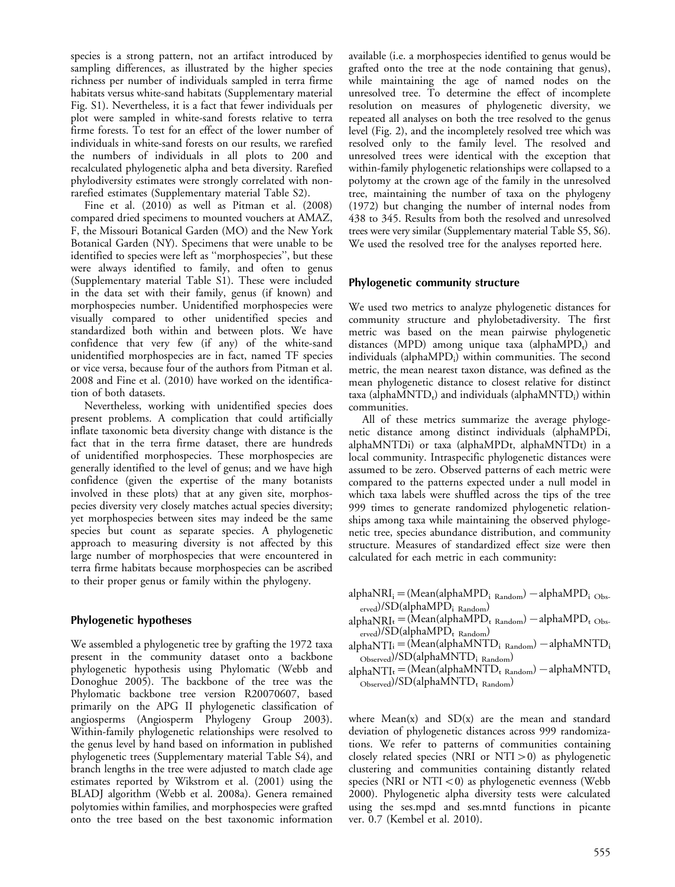species is a strong pattern, not an artifact introduced by sampling differences, as illustrated by the higher species richness per number of individuals sampled in terra firme habitats versus white-sand habitats (Supplementary material Fig. S1). Nevertheless, it is a fact that fewer individuals per plot were sampled in white-sand forests relative to terra firme forests. To test for an effect of the lower number of individuals in white-sand forests on our results, we rarefied the numbers of individuals in all plots to 200 and recalculated phylogenetic alpha and beta diversity. Rarefied phylodiversity estimates were strongly correlated with nonrarefied estimates (Supplementary material Table S2).

Fine et al. (2010) as well as Pitman et al. (2008) compared dried specimens to mounted vouchers at AMAZ, F, the Missouri Botanical Garden (MO) and the New York Botanical Garden (NY). Specimens that were unable to be identified to species were left as ''morphospecies'', but these were always identified to family, and often to genus (Supplementary material Table S1). These were included in the data set with their family, genus (if known) and morphospecies number. Unidentified morphospecies were visually compared to other unidentified species and standardized both within and between plots. We have confidence that very few (if any) of the white-sand unidentified morphospecies are in fact, named TF species or vice versa, because four of the authors from Pitman et al. 2008 and Fine et al. (2010) have worked on the identification of both datasets.

Nevertheless, working with unidentified species does present problems. A complication that could artificially inflate taxonomic beta diversity change with distance is the fact that in the terra firme dataset, there are hundreds of unidentified morphospecies. These morphospecies are generally identified to the level of genus; and we have high confidence (given the expertise of the many botanists involved in these plots) that at any given site, morphospecies diversity very closely matches actual species diversity; yet morphospecies between sites may indeed be the same species but count as separate species. A phylogenetic approach to measuring diversity is not affected by this large number of morphospecies that were encountered in terra firme habitats because morphospecies can be ascribed to their proper genus or family within the phylogeny.

## Phylogenetic hypotheses

We assembled a phylogenetic tree by grafting the 1972 taxa present in the community dataset onto a backbone phylogenetic hypothesis using Phylomatic (Webb and Donoghue 2005). The backbone of the tree was the Phylomatic backbone tree version R20070607, based primarily on the APG II phylogenetic classification of angiosperms (Angiosperm Phylogeny Group 2003). Within-family phylogenetic relationships were resolved to the genus level by hand based on information in published phylogenetic trees (Supplementary material Table S4), and branch lengths in the tree were adjusted to match clade age estimates reported by Wikstrom et al. (2001) using the BLADJ algorithm (Webb et al. 2008a). Genera remained polytomies within families, and morphospecies were grafted onto the tree based on the best taxonomic information

available (i.e. a morphospecies identified to genus would be grafted onto the tree at the node containing that genus), while maintaining the age of named nodes on the unresolved tree. To determine the effect of incomplete resolution on measures of phylogenetic diversity, we repeated all analyses on both the tree resolved to the genus level (Fig. 2), and the incompletely resolved tree which was resolved only to the family level. The resolved and unresolved trees were identical with the exception that within-family phylogenetic relationships were collapsed to a polytomy at the crown age of the family in the unresolved tree, maintaining the number of taxa on the phylogeny (1972) but changing the number of internal nodes from 438 to 345. Results from both the resolved and unresolved trees were very similar (Supplementary material Table S5, S6). We used the resolved tree for the analyses reported here.

## Phylogenetic community structure

We used two metrics to analyze phylogenetic distances for community structure and phylobetadiversity. The first metric was based on the mean pairwise phylogenetic distances (MPD) among unique taxa (alphaMPD<sub>t</sub>) and individuals (alpha $MPD_i$ ) within communities. The second metric, the mean nearest taxon distance, was defined as the mean phylogenetic distance to closest relative for distinct taxa (alpha $MNTD_t$ ) and individuals (alpha $MNTD_i$ ) within communities.

All of these metrics summarize the average phylogenetic distance among distinct individuals (alphaMPDi, alphaMNTDi) or taxa (alphaMPDt, alphaMNTDt) in a local community. Intraspecific phylogenetic distances were assumed to be zero. Observed patterns of each metric were compared to the patterns expected under a null model in which taxa labels were shuffled across the tips of the tree 999 times to generate randomized phylogenetic relationships among taxa while maintaining the observed phylogenetic tree, species abundance distribution, and community structure. Measures of standardized effect size were then calculated for each metric in each community:

- alpha $\text{NRI}_{\text{i}} = (\text{Mean}(\text{alphaMPD}_{\text{i Random}}) \text{alphaMPD}_{\text{i Obs-}}$ erved)/SD(alphaMPDi Random)
- alphaNRIt = (Mean(alphaMPD<sub>t Random</sub>) alphaMPD<sub>t Obs-</sub>  $\epsilon_{\text{erved}}$ )/SD(alphaMPD<sub>t Random</sub>)
- alphaNTIi = (Mean(alphaMNTD<sub>i Random</sub>) alphaMNTD<sub>i</sub> Observed)/SD(alphaMNTDi Random)
- alphaNTI<sub>t</sub> = (Mean(alphaMNTD<sub>t Random</sub>) alphaMNTD<sub>t</sub>  $\overline{\text{Observed}}$ /SD(alphaMNTD<sub>t Random)</sub>

where  $Mean(x)$  and  $SD(x)$  are the mean and standard deviation of phylogenetic distances across 999 randomizations. We refer to patterns of communities containing closely related species (NRI or NTI-0) as phylogenetic clustering and communities containing distantly related species (NRI or  $NTI < 0$ ) as phylogenetic evenness (Webb 2000). Phylogenetic alpha diversity tests were calculated using the ses.mpd and ses.mntd functions in picante ver. 0.7 (Kembel et al. 2010).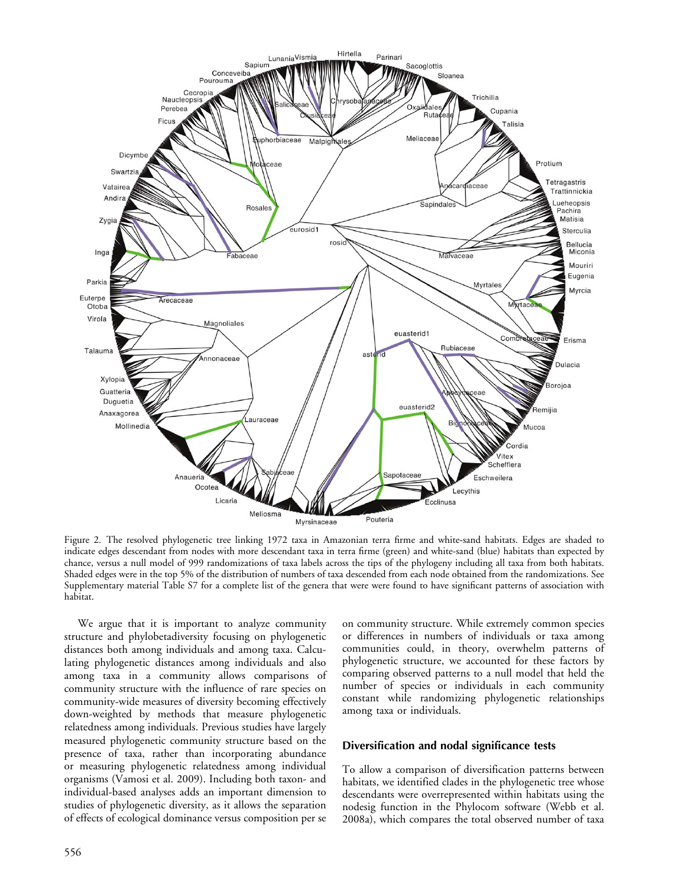

Figure 2. The resolved phylogenetic tree linking 1972 taxa in Amazonian terra firme and white-sand habitats. Edges are shaded to indicate edges descendant from nodes with more descendant taxa in terra firme (green) and white-sand (blue) habitats than expected by chance, versus a null model of 999 randomizations of taxa labels across the tips of the phylogeny including all taxa from both habitats. Shaded edges were in the top 5% of the distribution of numbers of taxa descended from each node obtained from the randomizations. See Supplementary material Table S7 for a complete list of the genera that were were found to have significant patterns of association with habitat.

We argue that it is important to analyze community structure and phylobetadiversity focusing on phylogenetic distances both among individuals and among taxa. Calculating phylogenetic distances among individuals and also among taxa in a community allows comparisons of community structure with the influence of rare species on community-wide measures of diversity becoming effectively down-weighted by methods that measure phylogenetic relatedness among individuals. Previous studies have largely measured phylogenetic community structure based on the presence of taxa, rather than incorporating abundance or measuring phylogenetic relatedness among individual organisms (Vamosi et al. 2009). Including both taxon- and individual-based analyses adds an important dimension to studies of phylogenetic diversity, as it allows the separation of effects of ecological dominance versus composition per se

on community structure. While extremely common species or differences in numbers of individuals or taxa among communities could, in theory, overwhelm patterns of phylogenetic structure, we accounted for these factors by comparing observed patterns to a null model that held the number of species or individuals in each community constant while randomizing phylogenetic relationships among taxa or individuals.

#### Diversification and nodal significance tests

To allow a comparison of diversification patterns between habitats, we identified clades in the phylogenetic tree whose descendants were overrepresented within habitats using the nodesig function in the Phylocom software (Webb et al. 2008a), which compares the total observed number of taxa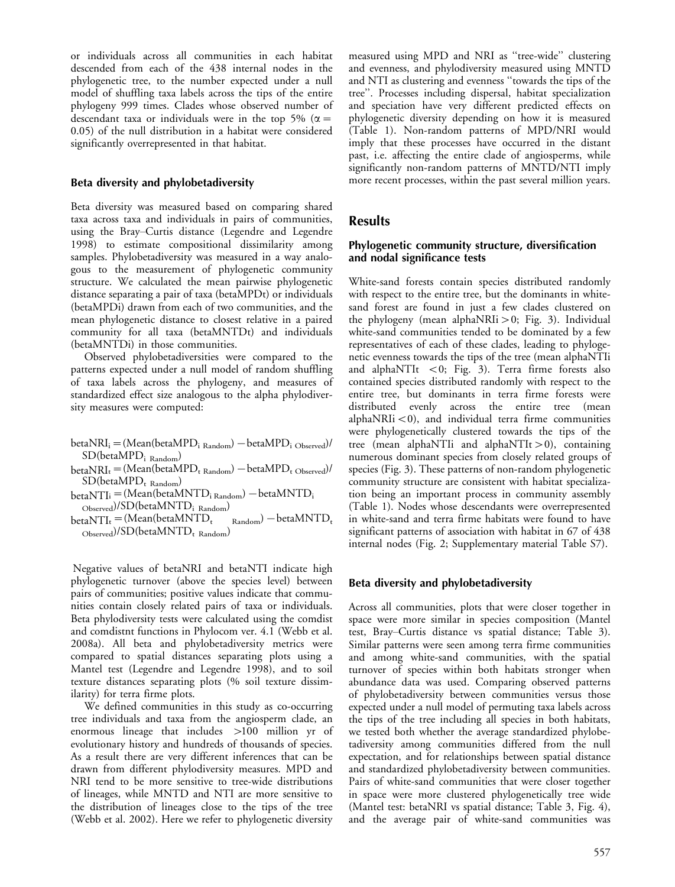or individuals across all communities in each habitat descended from each of the 438 internal nodes in the phylogenetic tree, to the number expected under a null model of shuffling taxa labels across the tips of the entire phylogeny 999 times. Clades whose observed number of descendant taxa or individuals were in the top 5% ( $\alpha =$ 0.05) of the null distribution in a habitat were considered significantly overrepresented in that habitat.

#### Beta diversity and phylobetadiversity

Beta diversity was measured based on comparing shared taxa across taxa and individuals in pairs of communities, using the Bray-Curtis distance (Legendre and Legendre 1998) to estimate compositional dissimilarity among samples. Phylobetadiversity was measured in a way analogous to the measurement of phylogenetic community structure. We calculated the mean pairwise phylogenetic distance separating a pair of taxa (betaMPDt) or individuals (betaMPDi) drawn from each of two communities, and the mean phylogenetic distance to closest relative in a paired community for all taxa (betaMNTDt) and individuals (betaMNTDi) in those communities.

Observed phylobetadiversities were compared to the patterns expected under a null model of random shuffling of taxa labels across the phylogeny, and measures of standardized effect size analogous to the alpha phylodiversity measures were computed:

- $betaNRI_i = (Mean(betaMPD_i_{Random}) betaMPD_i_{Observed})/$ SD(betaMPDi Random)
- $\text{betaNRI}_{\rm t}$  = (Mean(betaMPD<sub>t Random</sub>) betaMPD<sub>t Observed</sub>)/  $SD(betaMPD_t$ <sub>Random</sub>)
- $\text{betaNTI}_i = (\text{Mean}(\text{betaMNTD}_i_{\text{Random}}) \text{betaMNTD}_i)$

 $_{\rm Observed}$ )/SD(betaMNTD<sub>iRandom</sub>)

 $betaNTI_t = (Mean(betaMNTD_t))$  $(Random) - betaMNTD_t$  $_{\rm Observed}$ )/SD(betaMNTD<sub>t Random</sub>)

Negative values of betaNRI and betaNTI indicate high phylogenetic turnover (above the species level) between pairs of communities; positive values indicate that communities contain closely related pairs of taxa or individuals. Beta phylodiversity tests were calculated using the comdist and comdistnt functions in Phylocom ver. 4.1 (Webb et al. 2008a). All beta and phylobetadiversity metrics were compared to spatial distances separating plots using a Mantel test (Legendre and Legendre 1998), and to soil texture distances separating plots (% soil texture dissimilarity) for terra firme plots.

We defined communities in this study as co-occurring tree individuals and taxa from the angiosperm clade, an enormous lineage that includes -100 million yr of evolutionary history and hundreds of thousands of species. As a result there are very different inferences that can be drawn from different phylodiversity measures. MPD and NRI tend to be more sensitive to tree-wide distributions of lineages, while MNTD and NTI are more sensitive to the distribution of lineages close to the tips of the tree (Webb et al. 2002). Here we refer to phylogenetic diversity measured using MPD and NRI as ''tree-wide'' clustering and evenness, and phylodiversity measured using MNTD and NTI as clustering and evenness ''towards the tips of the tree''. Processes including dispersal, habitat specialization and speciation have very different predicted effects on phylogenetic diversity depending on how it is measured (Table 1). Non-random patterns of MPD/NRI would imply that these processes have occurred in the distant past, i.e. affecting the entire clade of angiosperms, while significantly non-random patterns of MNTD/NTI imply more recent processes, within the past several million years.

# **Results**

## Phylogenetic community structure, diversification and nodal significance tests

White-sand forests contain species distributed randomly with respect to the entire tree, but the dominants in whitesand forest are found in just a few clades clustered on the phylogeny (mean alphaNRIi >0; Fig. 3). Individual white-sand communities tended to be dominated by a few representatives of each of these clades, leading to phylogenetic evenness towards the tips of the tree (mean alphaNTIi and alphaNTI $t < 0$ ; Fig. 3). Terra firme forests also contained species distributed randomly with respect to the entire tree, but dominants in terra firme forests were distributed evenly across the entire tree (mean alphaNRI $i$  < 0), and individual terra firme communities were phylogenetically clustered towards the tips of the tree (mean alphaNTIi and alphaNTIt >0), containing numerous dominant species from closely related groups of species (Fig. 3). These patterns of non-random phylogenetic community structure are consistent with habitat specialization being an important process in community assembly (Table 1). Nodes whose descendants were overrepresented in white-sand and terra firme habitats were found to have significant patterns of association with habitat in 67 of 438 internal nodes (Fig. 2; Supplementary material Table S7).

## Beta diversity and phylobetadiversity

Across all communities, plots that were closer together in space were more similar in species composition (Mantel test, Bray-Curtis distance vs spatial distance; Table 3). Similar patterns were seen among terra firme communities and among white-sand communities, with the spatial turnover of species within both habitats stronger when abundance data was used. Comparing observed patterns of phylobetadiversity between communities versus those expected under a null model of permuting taxa labels across the tips of the tree including all species in both habitats, we tested both whether the average standardized phylobetadiversity among communities differed from the null expectation, and for relationships between spatial distance and standardized phylobetadiversity between communities. Pairs of white-sand communities that were closer together in space were more clustered phylogenetically tree wide (Mantel test: betaNRI vs spatial distance; Table 3, Fig. 4), and the average pair of white-sand communities was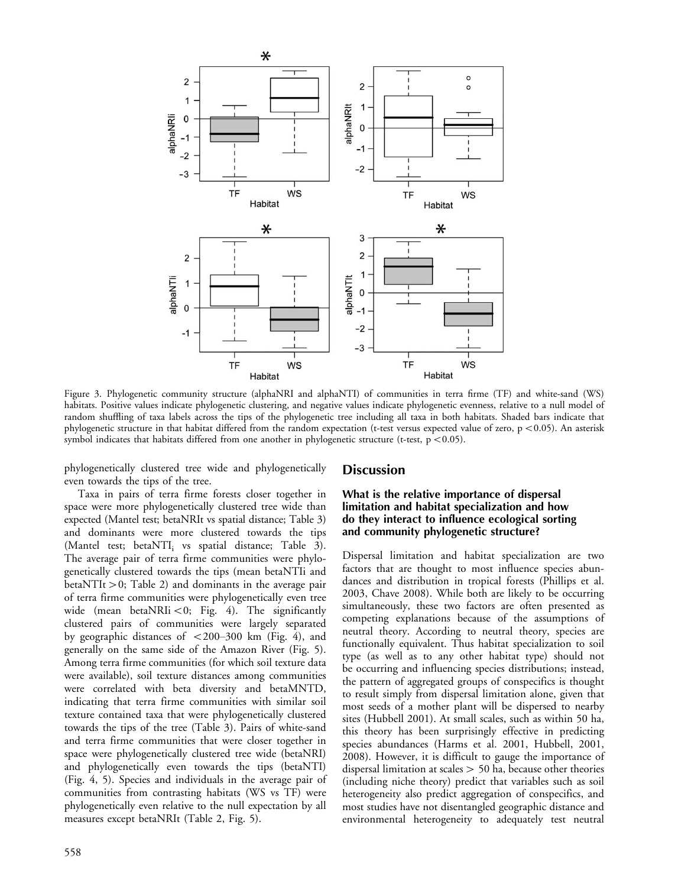

Figure 3. Phylogenetic community structure (alphaNRI and alphaNTI) of communities in terra firme (TF) and white-sand (WS) habitats. Positive values indicate phylogenetic clustering, and negative values indicate phylogenetic evenness, relative to a null model of random shuffling of taxa labels across the tips of the phylogenetic tree including all taxa in both habitats. Shaded bars indicate that phylogenetic structure in that habitat differed from the random expectation (t-test versus expected value of zero,  $p < 0.05$ ). An asterisk symbol indicates that habitats differed from one another in phylogenetic structure (t-test,  $p < 0.05$ ).

phylogenetically clustered tree wide and phylogenetically even towards the tips of the tree.

Taxa in pairs of terra firme forests closer together in space were more phylogenetically clustered tree wide than expected (Mantel test; betaNRIt vs spatial distance; Table 3) and dominants were more clustered towards the tips (Mantel test; beta $NTI_i$  vs spatial distance; Table 3). The average pair of terra firme communities were phylogenetically clustered towards the tips (mean betaNTIi and betaNTIt-0; Table 2) and dominants in the average pair of terra firme communities were phylogenetically even tree wide (mean betaNRIi  $< 0$ ; Fig. 4). The significantly clustered pairs of communities were largely separated by geographic distances of  $\langle 200-300 \text{ km}$  (Fig. 4), and generally on the same side of the Amazon River (Fig. 5). Among terra firme communities (for which soil texture data were available), soil texture distances among communities were correlated with beta diversity and betaMNTD, indicating that terra firme communities with similar soil texture contained taxa that were phylogenetically clustered towards the tips of the tree (Table 3). Pairs of white-sand and terra firme communities that were closer together in space were phylogenetically clustered tree wide (betaNRI) and phylogenetically even towards the tips (betaNTI) (Fig. 4, 5). Species and individuals in the average pair of communities from contrasting habitats (WS vs TF) were phylogenetically even relative to the null expectation by all measures except betaNRIt (Table 2, Fig. 5).

## **Discussion**

## What is the relative importance of dispersal limitation and habitat specialization and how do they interact to influence ecological sorting and community phylogenetic structure?

Dispersal limitation and habitat specialization are two factors that are thought to most influence species abundances and distribution in tropical forests (Phillips et al. 2003, Chave 2008). While both are likely to be occurring simultaneously, these two factors are often presented as competing explanations because of the assumptions of neutral theory. According to neutral theory, species are functionally equivalent. Thus habitat specialization to soil type (as well as to any other habitat type) should not be occurring and influencing species distributions; instead, the pattern of aggregated groups of conspecifics is thought to result simply from dispersal limitation alone, given that most seeds of a mother plant will be dispersed to nearby sites (Hubbell 2001). At small scales, such as within 50 ha, this theory has been surprisingly effective in predicting species abundances (Harms et al. 2001, Hubbell, 2001, 2008). However, it is difficult to gauge the importance of dispersal limitation at scales- 50 ha, because other theories (including niche theory) predict that variables such as soil heterogeneity also predict aggregation of conspecifics, and most studies have not disentangled geographic distance and environmental heterogeneity to adequately test neutral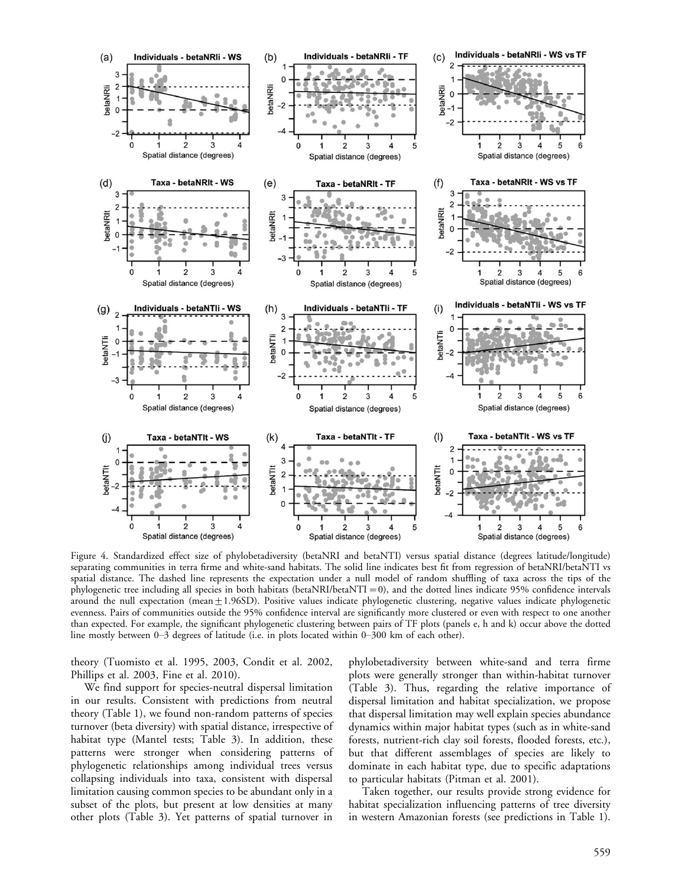

Figure 4. Standardized effect size of phylobetadiversity (betaNRI and betaNTI) versus spatial distance (degrees latitude/longitude) separating communities in terra firme and white-sand habitats. The solid line indicates best fit from regression of betaNRI/betaNTI vs spatial distance. The dashed line represents the expectation under a null model of random shuffling of taxa across the tips of the phylogenetic tree including all species in both habitats (betaNRI/betaNTI = 0), and the dotted lines indicate 95% confidence intervals around the null expectation (mean $\pm$ 1.96SD). Positive values indicate phylogenetic clustering, negative values indicate phylogenetic evenness. Pairs of communities outside the 95% confidence interval are significantly more clustered or even with respect to one another than expected. For example, the significant phylogenetic clustering between pairs of TF plots (panels e, h and k) occur above the dotted line mostly between 0-3 degrees of latitude (i.e. in plots located within 0-300 km of each other).

theory (Tuomisto et al. 1995, 2003, Condit et al. 2002, Phillips et al. 2003, Fine et al. 2010).

We find support for species-neutral dispersal limitation in our results. Consistent with predictions from neutral theory (Table 1), we found non-random patterns of species turnover (beta diversity) with spatial distance, irrespective of habitat type (Mantel tests; Table 3). In addition, these patterns were stronger when considering patterns of phylogenetic relationships among individual trees versus collapsing individuals into taxa, consistent with dispersal limitation causing common species to be abundant only in a subset of the plots, but present at low densities at many other plots (Table 3). Yet patterns of spatial turnover in

phylobetadiversity between white-sand and terra firme plots were generally stronger than within-habitat turnover (Table 3). Thus, regarding the relative importance of dispersal limitation and habitat specialization, we propose that dispersal limitation may well explain species abundance dynamics within major habitat types (such as in white-sand forests, nutrient-rich clay soil forests, flooded forests, etc.), but that different assemblages of species are likely to dominate in each habitat type, due to specific adaptations to particular habitats (Pitman et al. 2001).

Taken together, our results provide strong evidence for habitat specialization influencing patterns of tree diversity in western Amazonian forests (see predictions in Table 1).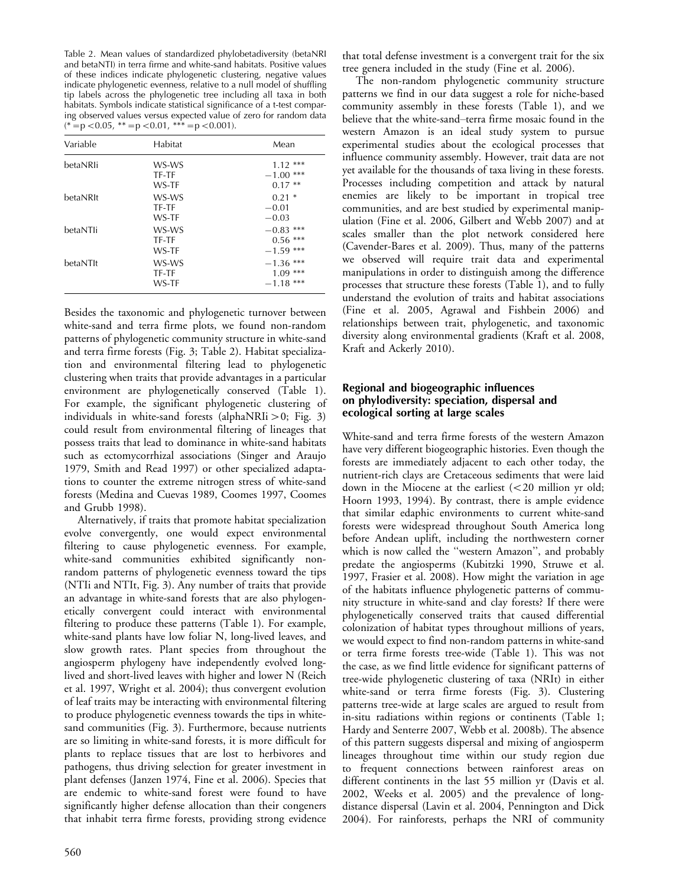Table 2. Mean values of standardized phylobetadiversity (betaNRI and betaNTI) in terra firme and white-sand habitats. Positive values of these indices indicate phylogenetic clustering, negative values indicate phylogenetic evenness, relative to a null model of shuffling tip labels across the phylogenetic tree including all taxa in both habitats. Symbols indicate statistical significance of a t-test comparing observed values versus expected value of zero for random data  $(*=p<0.05, **=p<0.01, **=p<0.001).$ 

| Variable | Habitat                 | Mean                                       |
|----------|-------------------------|--------------------------------------------|
| betaNRIi | WS-WS<br>TF-TF<br>WS-TF | ***<br>1.12<br>***<br>$-1.00$<br>$0.17**$  |
| betaNRIt | WS-WS<br>TF-TF<br>WS-TF | $0.21*$<br>$-0.01$<br>$-0.03$              |
| betaNTli | WS-WS<br>TF-TF<br>WS-TF | ***<br>$-0.83$<br>$0.56***$<br>$-1.59$ *** |
| betaNTIt | WS-WS<br>TF-TF<br>WS-TF | $-1.36$ ***<br>$1.09***$<br>$-1.18$ ***    |

Besides the taxonomic and phylogenetic turnover between white-sand and terra firme plots, we found non-random patterns of phylogenetic community structure in white-sand and terra firme forests (Fig. 3; Table 2). Habitat specialization and environmental filtering lead to phylogenetic clustering when traits that provide advantages in a particular environment are phylogenetically conserved (Table 1). For example, the significant phylogenetic clustering of individuals in white-sand forests (alphaNRIi $>$ 0; Fig. 3) could result from environmental filtering of lineages that possess traits that lead to dominance in white-sand habitats such as ectomycorrhizal associations (Singer and Araujo 1979, Smith and Read 1997) or other specialized adaptations to counter the extreme nitrogen stress of white-sand forests (Medina and Cuevas 1989, Coomes 1997, Coomes and Grubb 1998).

Alternatively, if traits that promote habitat specialization evolve convergently, one would expect environmental filtering to cause phylogenetic evenness. For example, white-sand communities exhibited significantly nonrandom patterns of phylogenetic evenness toward the tips (NTIi and NTIt, Fig. 3). Any number of traits that provide an advantage in white-sand forests that are also phylogenetically convergent could interact with environmental filtering to produce these patterns (Table 1). For example, white-sand plants have low foliar N, long-lived leaves, and slow growth rates. Plant species from throughout the angiosperm phylogeny have independently evolved longlived and short-lived leaves with higher and lower N (Reich et al. 1997, Wright et al. 2004); thus convergent evolution of leaf traits may be interacting with environmental filtering to produce phylogenetic evenness towards the tips in whitesand communities (Fig. 3). Furthermore, because nutrients are so limiting in white-sand forests, it is more difficult for plants to replace tissues that are lost to herbivores and pathogens, thus driving selection for greater investment in plant defenses (Janzen 1974, Fine et al. 2006). Species that are endemic to white-sand forest were found to have significantly higher defense allocation than their congeners that inhabit terra firme forests, providing strong evidence

560

that total defense investment is a convergent trait for the six tree genera included in the study (Fine et al. 2006).

The non-random phylogenetic community structure patterns we find in our data suggest a role for niche-based community assembly in these forests (Table 1), and we believe that the white-sand-terra firme mosaic found in the western Amazon is an ideal study system to pursue experimental studies about the ecological processes that influence community assembly. However, trait data are not yet available for the thousands of taxa living in these forests. Processes including competition and attack by natural enemies are likely to be important in tropical tree communities, and are best studied by experimental manipulation (Fine et al. 2006, Gilbert and Webb 2007) and at scales smaller than the plot network considered here (Cavender-Bares et al. 2009). Thus, many of the patterns we observed will require trait data and experimental manipulations in order to distinguish among the difference processes that structure these forests (Table 1), and to fully understand the evolution of traits and habitat associations (Fine et al. 2005, Agrawal and Fishbein 2006) and relationships between trait, phylogenetic, and taxonomic diversity along environmental gradients (Kraft et al. 2008, Kraft and Ackerly 2010).

# Regional and biogeographic influences on phylodiversity: speciation, dispersal and ecological sorting at large scales

White-sand and terra firme forests of the western Amazon have very different biogeographic histories. Even though the forests are immediately adjacent to each other today, the nutrient-rich clays are Cretaceous sediments that were laid down in the Miocene at the earliest  $\left( < 20 \right)$  million yr old; Hoorn 1993, 1994). By contrast, there is ample evidence that similar edaphic environments to current white-sand forests were widespread throughout South America long before Andean uplift, including the northwestern corner which is now called the "western Amazon", and probably predate the angiosperms (Kubitzki 1990, Struwe et al. 1997, Frasier et al. 2008). How might the variation in age of the habitats influence phylogenetic patterns of community structure in white-sand and clay forests? If there were phylogenetically conserved traits that caused differential colonization of habitat types throughout millions of years, we would expect to find non-random patterns in white-sand or terra firme forests tree-wide (Table 1). This was not the case, as we find little evidence for significant patterns of tree-wide phylogenetic clustering of taxa (NRIt) in either white-sand or terra firme forests (Fig. 3). Clustering patterns tree-wide at large scales are argued to result from in-situ radiations within regions or continents (Table 1; Hardy and Senterre 2007, Webb et al. 2008b). The absence of this pattern suggests dispersal and mixing of angiosperm lineages throughout time within our study region due to frequent connections between rainforest areas on different continents in the last 55 million yr (Davis et al. 2002, Weeks et al. 2005) and the prevalence of longdistance dispersal (Lavin et al. 2004, Pennington and Dick 2004). For rainforests, perhaps the NRI of community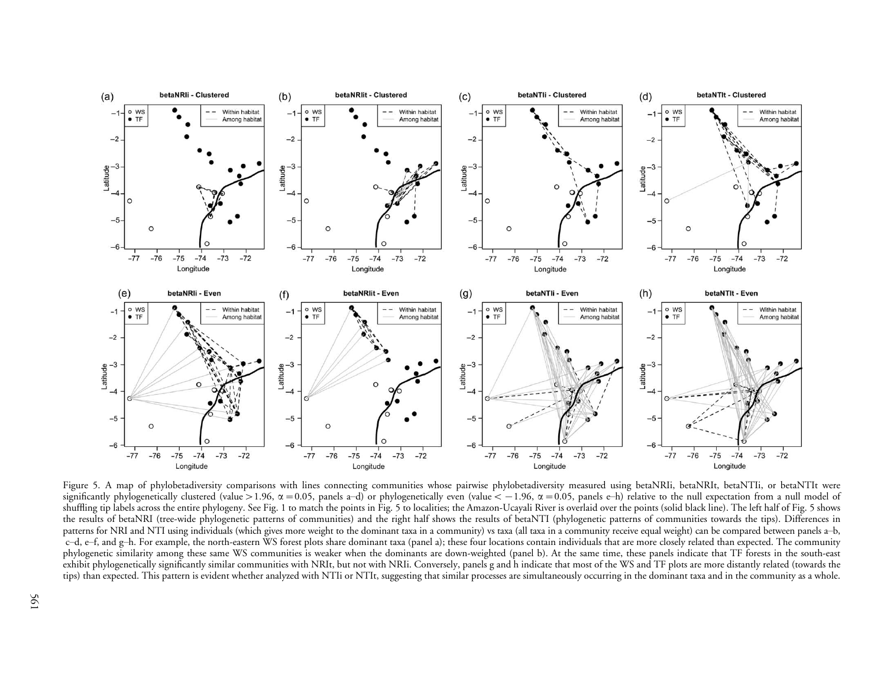

Figure 5. A map of phylobetadiversity comparisons with lines connecting communities whose pairwise phylobetadiversity measured using betaNRIi, betaNRIt, betaNTIi, or betaNTIt were significantly phylogenetically clustered (value >1.96,  $\alpha$  =0.05, panels a–d) or phylogenetically even (value < –1.96,  $\alpha$  =0.05, panels e–h) relative to the null expectation from a null model of shuffling tip labels across the entire <sup>p</sup>hylogeny. See Fig. <sup>1</sup> to match the points in Fig. 5 to localities; the Amazon-Ucayali River is overlaid over the points (solid black line). The left half of Fig. 5 shows the results of betaNRI (tree-wide <sup>p</sup>hylogenetic patterns of communities) and the right half shows the results of betaNTI (phylogenetic patterns of communities towards the tips). Differences in patterns for NRI and NTI using individuals (which gives more weight to the dominant taxa in a community) vs taxa (all taxa in a community receive equal weight) can be compared between panels a-b, c–d, e–f, and g–h. For example, the north-eastern WS forest plots share dominant taxa (panel a); these four locations contain individuals that are more closely related than expected. The community <sup>p</sup>hylogenetic similarity among these same WS communities is weaker when the dominants are down-weighted (panel b). At the same time, these panels indicate that TF forests in the south-east exhibit <sup>p</sup>hylogenetically significantly similar communities with NRIt, but not with NRIi. Conversely, panels <sup>g</sup> and h indicate that most of the WS and TF <sup>p</sup>lots are more distantly related (towards the tips) than expected. This pattern is evident whether analyzed with NTIi or NTIt, suggesting that similar processes are simultaneously occurring in the dominant taxa and in the community as <sup>a</sup> whole.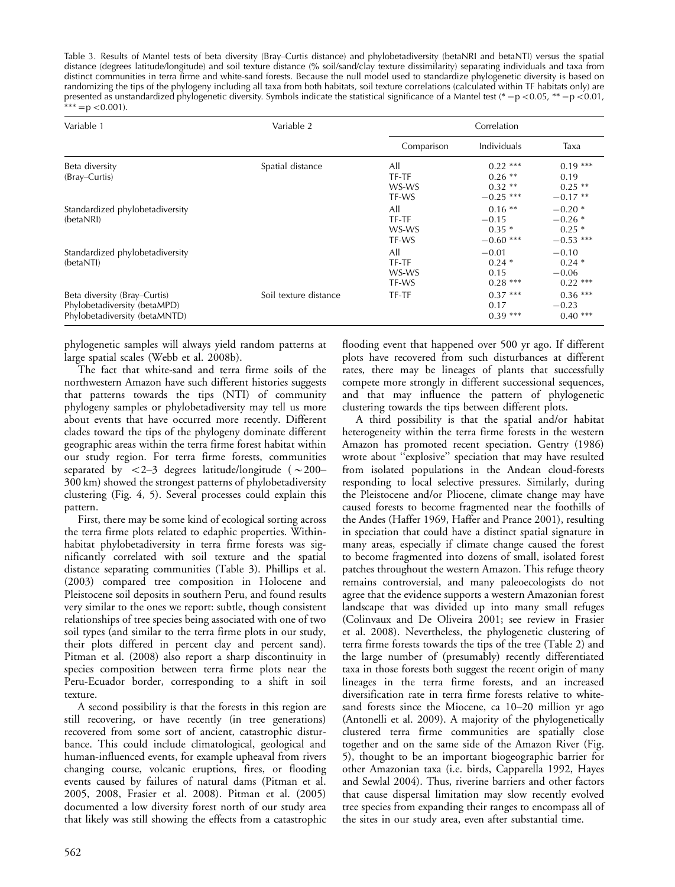Table 3. Results of Mantel tests of beta diversity (Bray-Curtis distance) and phylobetadiversity (betaNRI and betaNTI) versus the spatial distance (degrees latitude/longitude) and soil texture distance (% soil/sand/clay texture dissimilarity) separating individuals and taxa from distinct communities in terra firme and white-sand forests. Because the null model used to standardize phylogenetic diversity is based on randomizing the tips of the phylogeny including all taxa from both habitats, soil texture correlations (calculated within TF habitats only) are presented as unstandardized phylogenetic diversity. Symbols indicate the statistical significance of a Mantel test (\* = $p$  <0.05, \*\* = $p$  <0.01,  $***=$  p < 0.001).

| Variable 1                                                                                    | Variable 2            | Correlation                    |                                                    |                                                |
|-----------------------------------------------------------------------------------------------|-----------------------|--------------------------------|----------------------------------------------------|------------------------------------------------|
|                                                                                               |                       | Comparison                     | Individuals                                        | Taxa                                           |
| Beta diversity<br>(Bray–Curtis)                                                               | Spatial distance      | All<br>TF-TF<br>WS-WS<br>TF-WS | $0.22$ ***<br>$0.26$ **<br>$0.32**$<br>$-0.25$ *** | $0.19***$<br>0.19<br>$0.25$ **<br>$-0.17**$    |
| Standardized phylobetadiversity<br>(betaNRI)                                                  |                       | All<br>TF-TF<br>WS-WS<br>TF-WS | $0.16$ **<br>$-0.15$<br>$0.35*$<br>$-0.60$ ***     | $-0.20*$<br>$-0.26*$<br>$0.25*$<br>$-0.53$ *** |
| Standardized phylobetadiversity<br>(betaNTI)                                                  |                       | All<br>TF-TF<br>WS-WS<br>TF-WS | $-0.01$<br>$0.24*$<br>0.15<br>$0.28***$            | $-0.10$<br>$0.24*$<br>$-0.06$<br>$0.22$ ***    |
| Beta diversity (Bray–Curtis)<br>Phylobetadiversity (betaMPD)<br>Phylobetadiversity (betaMNTD) | Soil texture distance | TF-TF                          | $0.37***$<br>0.17<br>$0.39***$                     | $0.36***$<br>$-0.23$<br>$0.40***$              |

phylogenetic samples will always yield random patterns at large spatial scales (Webb et al. 2008b).

The fact that white-sand and terra firme soils of the northwestern Amazon have such different histories suggests that patterns towards the tips (NTI) of community phylogeny samples or phylobetadiversity may tell us more about events that have occurred more recently. Different clades toward the tips of the phylogeny dominate different geographic areas within the terra firme forest habitat within our study region. For terra firme forests, communities separated by  $\langle 2-3$  degrees latitude/longitude ( $\sim$ 200-300 km) showed the strongest patterns of phylobetadiversity clustering (Fig. 4, 5). Several processes could explain this pattern.

First, there may be some kind of ecological sorting across the terra firme plots related to edaphic properties. Withinhabitat phylobetadiversity in terra firme forests was significantly correlated with soil texture and the spatial distance separating communities (Table 3). Phillips et al. (2003) compared tree composition in Holocene and Pleistocene soil deposits in southern Peru, and found results very similar to the ones we report: subtle, though consistent relationships of tree species being associated with one of two soil types (and similar to the terra firme plots in our study, their plots differed in percent clay and percent sand). Pitman et al. (2008) also report a sharp discontinuity in species composition between terra firme plots near the Peru-Ecuador border, corresponding to a shift in soil texture.

A second possibility is that the forests in this region are still recovering, or have recently (in tree generations) recovered from some sort of ancient, catastrophic disturbance. This could include climatological, geological and human-influenced events, for example upheaval from rivers changing course, volcanic eruptions, fires, or flooding events caused by failures of natural dams (Pitman et al. 2005, 2008, Frasier et al. 2008). Pitman et al. (2005) documented a low diversity forest north of our study area that likely was still showing the effects from a catastrophic

flooding event that happened over 500 yr ago. If different plots have recovered from such disturbances at different rates, there may be lineages of plants that successfully compete more strongly in different successional sequences, and that may influence the pattern of phylogenetic clustering towards the tips between different plots.

A third possibility is that the spatial and/or habitat heterogeneity within the terra firme forests in the western Amazon has promoted recent speciation. Gentry (1986) wrote about ''explosive'' speciation that may have resulted from isolated populations in the Andean cloud-forests responding to local selective pressures. Similarly, during the Pleistocene and/or Pliocene, climate change may have caused forests to become fragmented near the foothills of the Andes (Haffer 1969, Haffer and Prance 2001), resulting in speciation that could have a distinct spatial signature in many areas, especially if climate change caused the forest to become fragmented into dozens of small, isolated forest patches throughout the western Amazon. This refuge theory remains controversial, and many paleoecologists do not agree that the evidence supports a western Amazonian forest landscape that was divided up into many small refuges (Colinvaux and De Oliveira 2001; see review in Frasier et al. 2008). Nevertheless, the phylogenetic clustering of terra firme forests towards the tips of the tree (Table 2) and the large number of (presumably) recently differentiated taxa in those forests both suggest the recent origin of many lineages in the terra firme forests, and an increased diversification rate in terra firme forests relative to whitesand forests since the Miocene, ca  $10-20$  million yr ago (Antonelli et al. 2009). A majority of the phylogenetically clustered terra firme communities are spatially close together and on the same side of the Amazon River (Fig. 5), thought to be an important biogeographic barrier for other Amazonian taxa (i.e. birds, Capparella 1992, Hayes and Sewlal 2004). Thus, riverine barriers and other factors that cause dispersal limitation may slow recently evolved tree species from expanding their ranges to encompass all of the sites in our study area, even after substantial time.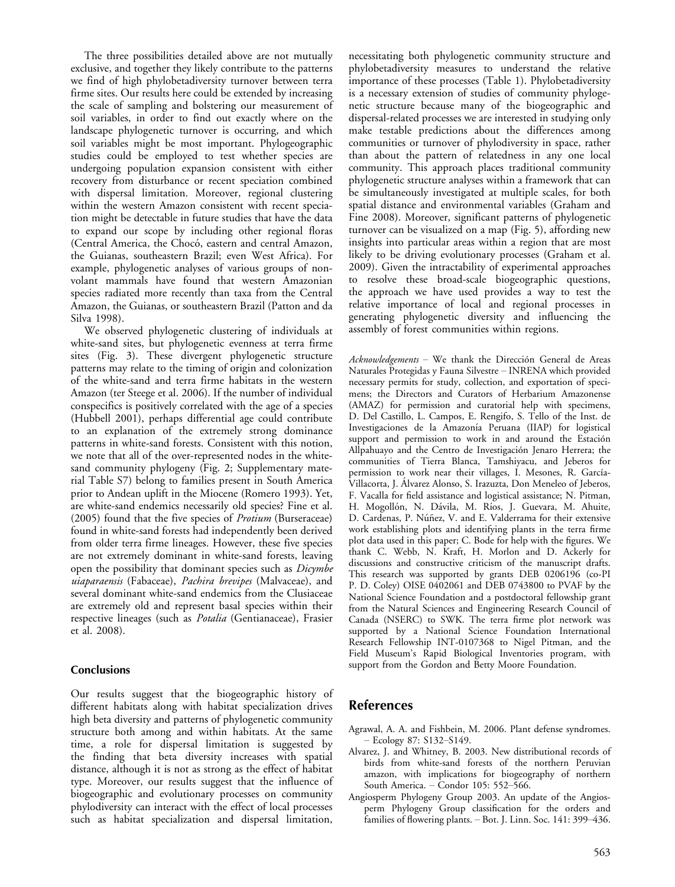The three possibilities detailed above are not mutually exclusive, and together they likely contribute to the patterns we find of high phylobetadiversity turnover between terra firme sites. Our results here could be extended by increasing the scale of sampling and bolstering our measurement of soil variables, in order to find out exactly where on the landscape phylogenetic turnover is occurring, and which soil variables might be most important. Phylogeographic studies could be employed to test whether species are undergoing population expansion consistent with either recovery from disturbance or recent speciation combined with dispersal limitation. Moreover, regional clustering within the western Amazon consistent with recent speciation might be detectable in future studies that have the data to expand our scope by including other regional floras (Central America, the Chocó, eastern and central Amazon, the Guianas, southeastern Brazil; even West Africa). For example, phylogenetic analyses of various groups of nonvolant mammals have found that western Amazonian species radiated more recently than taxa from the Central Amazon, the Guianas, or southeastern Brazil (Patton and da Silva 1998).

We observed phylogenetic clustering of individuals at white-sand sites, but phylogenetic evenness at terra firme sites (Fig. 3). These divergent phylogenetic structure patterns may relate to the timing of origin and colonization of the white-sand and terra firme habitats in the western Amazon (ter Steege et al. 2006). If the number of individual conspecifics is positively correlated with the age of a species (Hubbell 2001), perhaps differential age could contribute to an explanation of the extremely strong dominance patterns in white-sand forests. Consistent with this notion, we note that all of the over-represented nodes in the whitesand community phylogeny (Fig. 2; Supplementary material Table S7) belong to families present in South America prior to Andean uplift in the Miocene (Romero 1993). Yet, are white-sand endemics necessarily old species? Fine et al. (2005) found that the five species of *Protium* (Burseraceae) found in white-sand forests had independently been derived from older terra firme lineages. However, these five species are not extremely dominant in white-sand forests, leaving open the possibility that dominant species such as Dicymbe uiaparaensis (Fabaceae), Pachira brevipes (Malvaceae), and several dominant white-sand endemics from the Clusiaceae are extremely old and represent basal species within their respective lineages (such as Potalia (Gentianaceae), Frasier et al. 2008).

## Conclusions

Our results suggest that the biogeographic history of different habitats along with habitat specialization drives high beta diversity and patterns of phylogenetic community structure both among and within habitats. At the same time, a role for dispersal limitation is suggested by the finding that beta diversity increases with spatial distance, although it is not as strong as the effect of habitat type. Moreover, our results suggest that the influence of biogeographic and evolutionary processes on community phylodiversity can interact with the effect of local processes such as habitat specialization and dispersal limitation,

necessitating both phylogenetic community structure and phylobetadiversity measures to understand the relative importance of these processes (Table 1). Phylobetadiversity is a necessary extension of studies of community phylogenetic structure because many of the biogeographic and dispersal-related processes we are interested in studying only make testable predictions about the differences among communities or turnover of phylodiversity in space, rather than about the pattern of relatedness in any one local community. This approach places traditional community phylogenetic structure analyses within a framework that can be simultaneously investigated at multiple scales, for both spatial distance and environmental variables (Graham and Fine 2008). Moreover, significant patterns of phylogenetic turnover can be visualized on a map (Fig. 5), affording new insights into particular areas within a region that are most likely to be driving evolutionary processes (Graham et al. 2009). Given the intractability of experimental approaches to resolve these broad-scale biogeographic questions, the approach we have used provides a way to test the relative importance of local and regional processes in generating phylogenetic diversity and influencing the assembly of forest communities within regions.

 $Acknowledgements$  - We thank the Dirección General de Areas Naturales Protegidas y Fauna Silvestre INRENA which provided necessary permits for study, collection, and exportation of specimens; the Directors and Curators of Herbarium Amazonense (AMAZ) for permission and curatorial help with specimens, D. Del Castillo, L. Campos, E. Rengifo, S. Tello of the Inst. de Investigaciones de la Amazonía Peruana (IIAP) for logistical support and permission to work in and around the Estación Allpahuayo and the Centro de Investigación Jenaro Herrera; the communities of Tierra Blanca, Tamshiyacu, and Jeberos for permission to work near their villages, I. Mesones, R. García-Villacorta, J. Álvarez Alonso, S. Irazuzta, Don Meneleo of Jeberos, F. Vacalla for field assistance and logistical assistance; N. Pitman, H. Mogollón, N. Dávila, M. Ríos, J. Guevara, M. Ahuite, D. Cardenas, P. Núñez, V. and E. Valderrama for their extensive work establishing plots and identifying plants in the terra firme plot data used in this paper; C. Bode for help with the figures. We thank C. Webb, N. Kraft, H. Morlon and D. Ackerly for discussions and constructive criticism of the manuscript drafts. This research was supported by grants DEB 0206196 (co-PI P. D. Coley) OISE 0402061 and DEB 0743800 to PVAF by the National Science Foundation and a postdoctoral fellowship grant from the Natural Sciences and Engineering Research Council of Canada (NSERC) to SWK. The terra firme plot network was supported by a National Science Foundation International Research Fellowship INT-0107368 to Nigel Pitman, and the Field Museum's Rapid Biological Inventories program, with support from the Gordon and Betty Moore Foundation.

# References

- Agrawal, A. A. and Fishbein, M. 2006. Plant defense syndromes.  $-$  Ecology 87: S132–S149.
- Alvarez, J. and Whitney, B. 2003. New distributional records of birds from white-sand forests of the northern Peruvian amazon, with implications for biogeography of northern South America. - Condor 105: 552-566.
- Angiosperm Phylogeny Group 2003. An update of the Angiosperm Phylogeny Group classification for the orders and families of flowering plants. - Bot. J. Linn. Soc. 141: 399-436.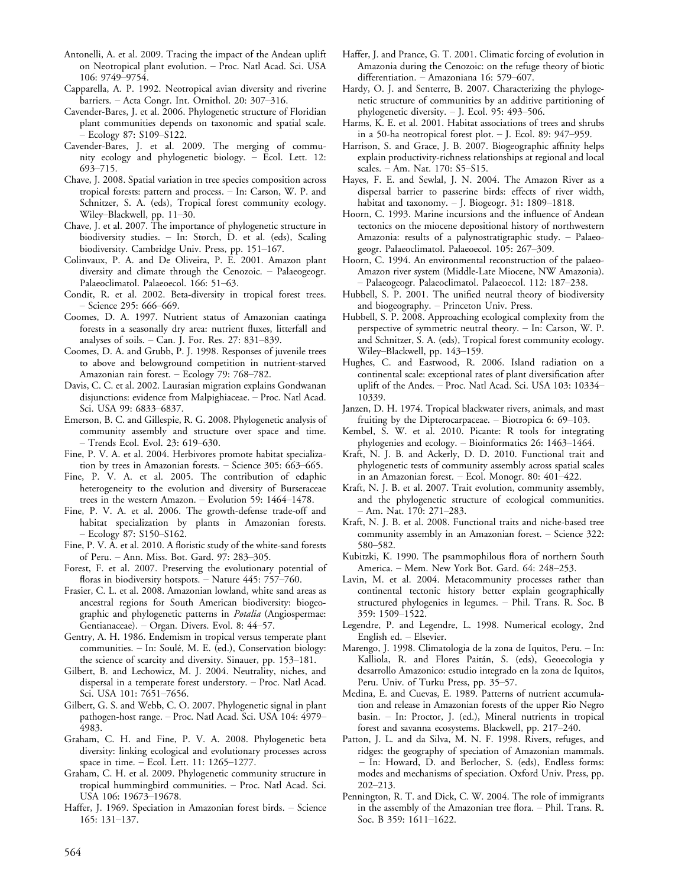- Antonelli, A. et al. 2009. Tracing the impact of the Andean uplift on Neotropical plant evolution. - Proc. Natl Acad. Sci. USA 106: 9749-9754.
- Capparella, A. P. 1992. Neotropical avian diversity and riverine barriers. - Acta Congr. Int. Ornithol. 20: 307-316.
- Cavender-Bares, J. et al. 2006. Phylogenetic structure of Floridian plant communities depends on taxonomic and spatial scale. Ecology 87: S109-S122.
- Cavender-Bares, J. et al. 2009. The merging of community ecology and phylogenetic biology. Ecol. Lett. 12: 693-715.
- Chave, J. 2008. Spatial variation in tree species composition across tropical forests: pattern and process. In: Carson, W. P. and Schnitzer, S. A. (eds), Tropical forest community ecology. Wiley-Blackwell, pp. 11-30.
- Chave, J. et al. 2007. The importance of phylogenetic structure in biodiversity studies. - In: Storch, D. et al. (eds), Scaling biodiversity. Cambridge Univ. Press, pp. 151-167.
- Colinvaux, P. A. and De Oliveira, P. E. 2001. Amazon plant diversity and climate through the Cenozoic. Palaeogeogr. Palaeoclimatol. Palaeoecol. 166: 51-63.
- Condit, R. et al. 2002. Beta-diversity in tropical forest trees.  $-$  Science 295: 666–669.
- Coomes, D. A. 1997. Nutrient status of Amazonian caatinga forests in a seasonally dry area: nutrient fluxes, litterfall and analyses of soils.  $-$  Can. J. For. Res. 27: 831-839.
- Coomes, D. A. and Grubb, P. J. 1998. Responses of juvenile trees to above and belowground competition in nutrient-starved Amazonian rain forest. - Ecology 79: 768-782.
- Davis, C. C. et al. 2002. Laurasian migration explains Gondwanan disjunctions: evidence from Malpighiaceae. - Proc. Natl Acad. Sci. USA 99: 6833-6837.
- Emerson, B. C. and Gillespie, R. G. 2008. Phylogenetic analysis of community assembly and structure over space and time. - Trends Ecol. Evol. 23: 619-630.
- Fine, P. V. A. et al. 2004. Herbivores promote habitat specialization by trees in Amazonian forests.  $-$  Science 305: 663-665.
- Fine, P. V. A. et al. 2005. The contribution of edaphic heterogeneity to the evolution and diversity of Burseraceae trees in the western Amazon.  $-$  Evolution 59: 1464-1478.
- Fine, P. V. A. et al. 2006. The growth-defense trade-off and habitat specialization by plants in Amazonian forests.  $-$  Ecology 87: S150–S162.
- Fine, P. V. A. et al. 2010. A floristic study of the white-sand forests of Peru. – Ann. Miss. Bot. Gard. 97: 283–305.
- Forest, F. et al. 2007. Preserving the evolutionary potential of floras in biodiversity hotspots.  $-$  Nature 445: 757-760.
- Frasier, C. L. et al. 2008. Amazonian lowland, white sand areas as ancestral regions for South American biodiversity: biogeographic and phylogenetic patterns in Potalia (Angiospermae: Gentianaceae). - Organ. Divers. Evol. 8: 44-57.
- Gentry, A. H. 1986. Endemism in tropical versus temperate plant communities. - In: Soulé, M. E. (ed.), Conservation biology: the science of scarcity and diversity. Sinauer, pp. 153-181.
- Gilbert, B. and Lechowicz, M. J. 2004. Neutrality, niches, and dispersal in a temperate forest understory. - Proc. Natl Acad. Sci. USA 101: 7651-7656.
- Gilbert, G. S. and Webb, C. O. 2007. Phylogenetic signal in plant pathogen-host range. - Proc. Natl Acad. Sci. USA 104: 4979-4983.
- Graham, C. H. and Fine, P. V. A. 2008. Phylogenetic beta diversity: linking ecological and evolutionary processes across space in time.  $-$  Ecol. Lett. 11: 1265-1277.
- Graham, C. H. et al. 2009. Phylogenetic community structure in tropical hummingbird communities. - Proc. Natl Acad. Sci. USA 106: 19673-19678.
- Haffer, J. 1969. Speciation in Amazonian forest birds. Science  $165: 131 - 137.$
- Haffer, J. and Prance, G. T. 2001. Climatic forcing of evolution in Amazonia during the Cenozoic: on the refuge theory of biotic differentiation. - Amazoniana 16: 579-607.
- Hardy, O. J. and Senterre, B. 2007. Characterizing the phylogenetic structure of communities by an additive partitioning of phylogenetic diversity.  $-$  J. Ecol. 95: 493-506.
- Harms, K. E. et al. 2001. Habitat associations of trees and shrubs in a 50-ha neotropical forest plot.  $-$  J. Ecol. 89: 947-959.
- Harrison, S. and Grace, J. B. 2007. Biogeographic affinity helps explain productivity-richness relationships at regional and local scales. - Am. Nat. 170: S5-S15.
- Hayes, F. E. and Sewlal, J. N. 2004. The Amazon River as a dispersal barrier to passerine birds: effects of river width, habitat and taxonomy.  $-$  J. Biogeogr. 31: 1809–1818.
- Hoorn, C. 1993. Marine incursions and the influence of Andean tectonics on the miocene depositional history of northwestern Amazonia: results of a palynostratigraphic study. - Palaeogeogr. Palaeoclimatol. Palaeoecol. 105: 267-309.
- Hoorn, C. 1994. An environmental reconstruction of the palaeo-Amazon river system (Middle-Late Miocene, NW Amazonia). - Palaeogeogr. Palaeoclimatol. Palaeoecol. 112: 187-238.
- Hubbell, S. P. 2001. The unified neutral theory of biodiversity and biogeography. - Princeton Univ. Press.
- Hubbell, S. P. 2008. Approaching ecological complexity from the perspective of symmetric neutral theory. - In: Carson, W. P. and Schnitzer, S. A. (eds), Tropical forest community ecology. Wiley-Blackwell, pp. 143-159.
- Hughes, C. and Eastwood, R. 2006. Island radiation on a continental scale: exceptional rates of plant diversification after uplift of the Andes. - Proc. Natl Acad. Sci. USA 103: 10334-10339.
- Janzen, D. H. 1974. Tropical blackwater rivers, animals, and mast fruiting by the Dipterocarpaceae.  $-$  Biotropica 6: 69-103.
- Kembel, S. W. et al. 2010. Picante: R tools for integrating phylogenies and ecology.  $-$  Bioinformatics 26: 1463–1464.
- Kraft, N. J. B. and Ackerly, D. D. 2010. Functional trait and phylogenetic tests of community assembly across spatial scales in an Amazonian forest.  $-$  Ecol. Monogr. 80: 401-422.
- Kraft, N. J. B. et al. 2007. Trait evolution, community assembly, and the phylogenetic structure of ecological communities.  $-$  Am. Nat. 170: 271-283.
- Kraft, N. J. B. et al. 2008. Functional traits and niche-based tree community assembly in an Amazonian forest. – Science 322: 580-582.
- Kubitzki, K. 1990. The psammophilous flora of northern South America. - Mem. New York Bot. Gard. 64: 248-253.
- Lavin, M. et al. 2004. Metacommunity processes rather than continental tectonic history better explain geographically structured phylogenies in legumes. Phil. Trans. R. Soc. B 359: 1509-1522.
- Legendre, P. and Legendre, L. 1998. Numerical ecology, 2nd English ed. Elsevier.
- Marengo, J. 1998. Climatologia de la zona de Iquitos, Peru. In: Kalliola, R. and Flores Paitán, S. (eds), Geoecologia y desarrollo Amazonico: estudio integrado en la zona de Iquitos, Peru. Univ. of Turku Press, pp. 35-57.
- Medina, E. and Cuevas, E. 1989. Patterns of nutrient accumulation and release in Amazonian forests of the upper Rio Negro basin. - In: Proctor, J. (ed.), Mineral nutrients in tropical forest and savanna ecosystems. Blackwell, pp. 217-240.
- Patton, J. L. and da Silva, M. N. F. 1998. Rivers, refuges, and ridges: the geography of speciation of Amazonian mammals. - In: Howard, D. and Berlocher, S. (eds), Endless forms: modes and mechanisms of speciation. Oxford Univ. Press, pp. 202-213.
- Pennington, R. T. and Dick, C. W. 2004. The role of immigrants in the assembly of the Amazonian tree flora. Phil. Trans. R. Soc. B 359: 1611-1622.